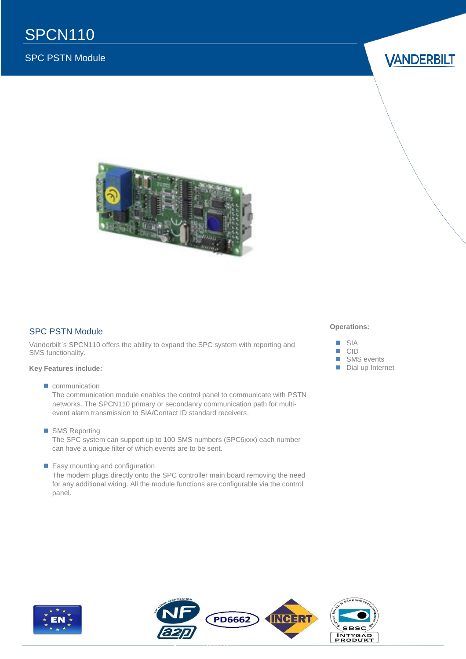## SPC PSTN Module

**VANDERBILT** 



#### SPC PSTN Module

Vanderbilt`s SPCN110 offers the ability to expand the SPC system with reporting and SMS functionality.

#### **Key Features include:**

communication

The communication module enables the control panel to communicate with PSTN networks. The SPCN110 primary or secondanry communication path for multievent alarm transmission to SIA/Contact ID standard receivers.

■ SMS Reporting

The SPC system can support up to 100 SMS numbers (SPC6xxx) each number can have a unique filter of which events are to be sent.

**Easy mounting and configuration** 

The modem plugs directly onto the SPC controller main board removing the need for any additional wiring. All the module functions are configurable via the control panel.

#### **Operations:**





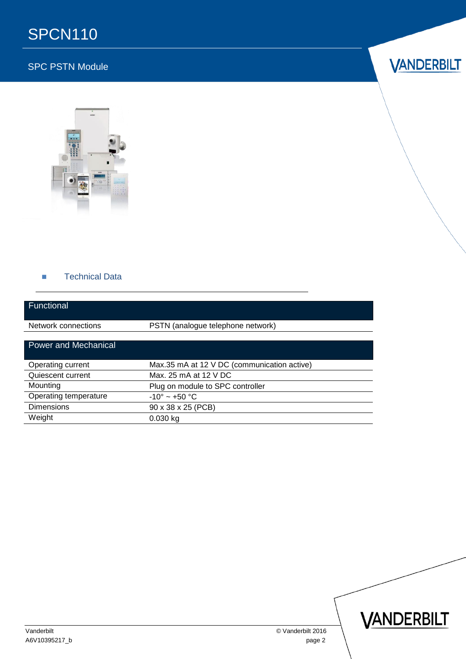## SPCN110

## SPC PSTN Module





#### **Technical Data**

| Functional                  |                                             |
|-----------------------------|---------------------------------------------|
| Network connections         | PSTN (analogue telephone network)           |
| <b>Power and Mechanical</b> |                                             |
| Operating current           | Max.35 mA at 12 V DC (communication active) |
| Quiescent current           | Max. 25 mA at 12 V DC                       |
| Mounting                    | Plug on module to SPC controller            |
| Operating temperature       | $-10^{\circ}$ ~ +50 °C                      |
| <b>Dimensions</b>           | 90 x 38 x 25 (PCB)                          |
| Weight                      | $0.030$ kg                                  |



Vanderbilt © Vanderbilt 2016

A6V10395217\_b page 2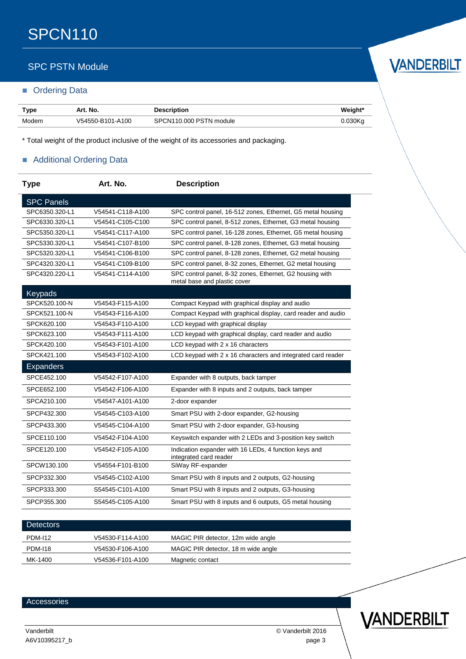## SPC PSTN Module

#### **Didering Data**

| Type  | Art. No.         | <b>Description</b>      | Weight*    |
|-------|------------------|-------------------------|------------|
| Modem | V54550-B101-A100 | SPCN110.000 PSTN module | $0.030$ Kc |

\* Total weight of the product inclusive of the weight of its accessories and packaging.

#### Additional Ordering Data

| <b>Type</b>       | Art. No.         | <b>Description</b>                                                                       |
|-------------------|------------------|------------------------------------------------------------------------------------------|
| <b>SPC Panels</b> |                  |                                                                                          |
| SPC6350.320-L1    | V54541-C118-A100 | SPC control panel, 16-512 zones, Ethernet, G5 metal housing                              |
| SPC6330.320-L1    | V54541-C105-C100 | SPC control panel, 8-512 zones, Ethernet, G3 metal housing                               |
| SPC5350.320-L1    | V54541-C117-A100 | SPC control panel, 16-128 zones, Ethernet, G5 metal housing                              |
| SPC5330.320-L1    | V54541-C107-B100 | SPC control panel, 8-128 zones, Ethernet, G3 metal housing                               |
| SPC5320.320-L1    | V54541-C106-B100 | SPC control panel, 8-128 zones, Ethernet, G2 metal housing                               |
| SPC4320.320-L1    | V54541-C109-B100 | SPC control panel, 8-32 zones, Ethernet, G2 metal housing                                |
| SPC4320.220-L1    | V54541-C114-A100 | SPC control panel, 8-32 zones, Ethernet, G2 housing with<br>metal base and plastic cover |
| Keypads           |                  |                                                                                          |
| SPCK520.100-N     | V54543-F115-A100 | Compact Keypad with graphical display and audio                                          |
| SPCK521.100-N     | V54543-F116-A100 | Compact Keypad with graphical display, card reader and audio                             |
| SPCK620.100       | V54543-F110-A100 | LCD keypad with graphical display                                                        |
| SPCK623.100       | V54543-F111-A100 | LCD keypad with graphical display, card reader and audio                                 |
| SPCK420.100       | V54543-F101-A100 | LCD keypad with 2 x 16 characters                                                        |
| SPCK421.100       | V54543-F102-A100 | LCD keypad with 2 x 16 characters and integrated card reader                             |
| <b>Expanders</b>  |                  |                                                                                          |
| SPCE452.100       | V54542-F107-A100 | Expander with 8 outputs, back tamper                                                     |
| SPCE652.100       | V54542-F106-A100 | Expander with 8 inputs and 2 outputs, back tamper                                        |
| SPCA210.100       | V54547-A101-A100 | 2-door expander                                                                          |
| SPCP432.300       | V54545-C103-A100 | Smart PSU with 2-door expander, G2-housing                                               |
| SPCP433.300       | V54545-C104-A100 | Smart PSU with 2-door expander, G3-housing                                               |
| SPCE110.100       | V54542-F104-A100 | Keyswitch expander with 2 LEDs and 3-position key switch                                 |
| SPCE120.100       | V54542-F105-A100 | Indication expander with 16 LEDs, 4 function keys and<br>integrated card reader          |
| SPCW130.100       | V54554-F101-B100 | SiWay RF-expander                                                                        |
| SPCP332.300       | V54545-C102-A100 | Smart PSU with 8 inputs and 2 outputs, G2-housing                                        |
| SPCP333.300       | S54545-C101-A100 | Smart PSU with 8 inputs and 2 outputs, G3-housing                                        |
| SPCP355.300       | S54545-C105-A100 | Smart PSU with 8 inputs and 6 outputs, G5 metal housing                                  |

| <b>Detectors</b> |                  |                                     |
|------------------|------------------|-------------------------------------|
| <b>PDM-112</b>   | V54530-F114-A100 | MAGIC PIR detector, 12m wide angle  |
| <b>PDM-118</b>   | V54530-F106-A100 | MAGIC PIR detector, 18 m wide angle |
| MK-1400          | V54536-F101-A100 | Magnetic contact                    |

#### **Accessories**